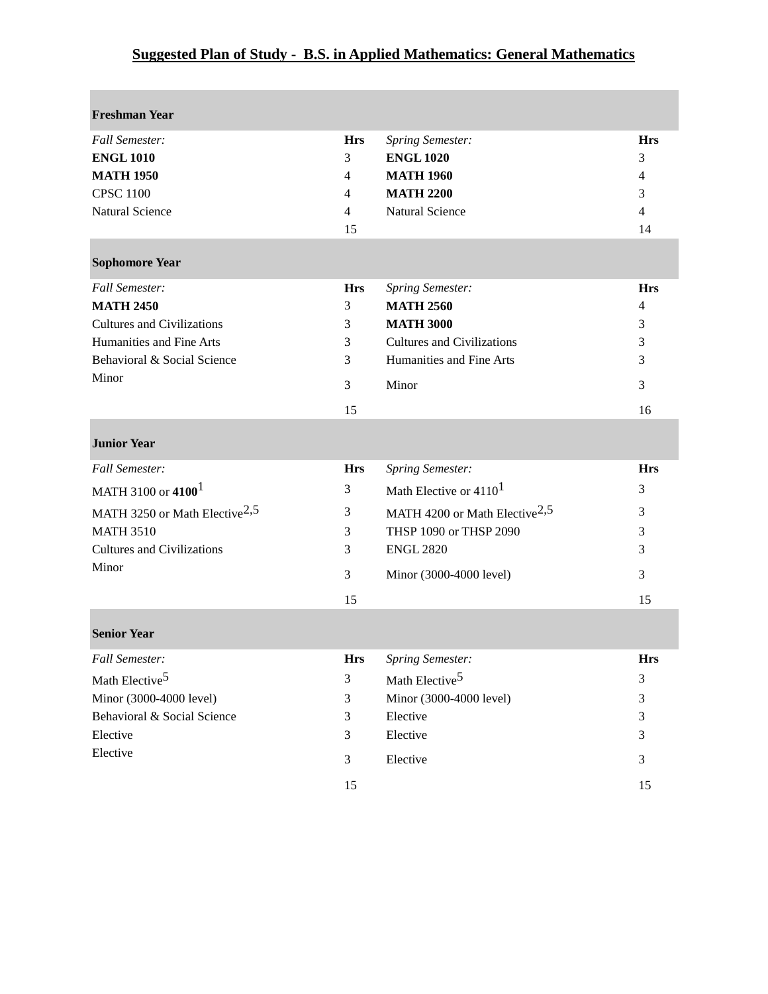## **Suggested Plan of Study - B.S. in Applied Mathematics: General Mathematics**

| <b>Freshman Year</b>                                    |                |                                                               |                |
|---------------------------------------------------------|----------------|---------------------------------------------------------------|----------------|
| <b>Fall Semester:</b>                                   | <b>Hrs</b>     | <b>Spring Semester:</b>                                       | <b>Hrs</b>     |
| <b>ENGL 1010</b>                                        | 3              | <b>ENGL 1020</b>                                              | 3              |
| <b>MATH 1950</b>                                        | 4              | <b>MATH 1960</b>                                              | 4              |
| <b>CPSC 1100</b>                                        | 4              | <b>MATH 2200</b>                                              | 3              |
| <b>Natural Science</b>                                  | $\overline{4}$ | <b>Natural Science</b>                                        | $\overline{4}$ |
|                                                         | 15             |                                                               | 14             |
| <b>Sophomore Year</b>                                   |                |                                                               |                |
| <b>Fall Semester:</b>                                   | <b>Hrs</b>     | Spring Semester:                                              | <b>Hrs</b>     |
| <b>MATH 2450</b>                                        | 3              | <b>MATH 2560</b>                                              | $\overline{4}$ |
| <b>Cultures and Civilizations</b>                       | 3              | <b>MATH 3000</b>                                              | 3              |
| Humanities and Fine Arts<br>Behavioral & Social Science | 3              | <b>Cultures and Civilizations</b><br>Humanities and Fine Arts | 3              |
| Minor                                                   | 3              |                                                               | 3              |
|                                                         | 3              | Minor                                                         | 3              |
|                                                         | 15             |                                                               | 16             |
| <b>Junior Year</b>                                      |                |                                                               |                |
| <b>Fall Semester:</b>                                   | <b>Hrs</b>     | <b>Spring Semester:</b>                                       | <b>Hrs</b>     |
| MATH 3100 or 4100 <sup>1</sup>                          | 3              | Math Elective or 4110 <sup>1</sup>                            | 3              |
| MATH 3250 or Math Elective <sup>2,5</sup>               | 3              | MATH 4200 or Math Elective <sup>2,5</sup>                     | 3              |
| <b>MATH 3510</b>                                        | 3              | THSP 1090 or THSP 2090                                        | 3              |
| <b>Cultures and Civilizations</b>                       | 3              | <b>ENGL 2820</b>                                              | 3              |
| Minor                                                   | 3              | Minor (3000-4000 level)                                       | 3              |
|                                                         | 15             |                                                               | 15             |
| <b>Senior Year</b>                                      |                |                                                               |                |
| <b>Fall Semester:</b>                                   | <b>Hrs</b>     | Spring Semester:                                              | <b>Hrs</b>     |
| Math Elective <sup>5</sup>                              | 3              | Math Elective <sup>5</sup>                                    | 3              |
| Minor (3000-4000 level)                                 | 3              | Minor (3000-4000 level)                                       | 3              |
| Behavioral & Social Science                             | 3              | Elective                                                      | 3              |
| Elective                                                | 3              | Elective                                                      | 3              |
| Elective                                                | 3              | Elective                                                      | 3              |
|                                                         | 15             |                                                               | 15             |
|                                                         |                |                                                               |                |